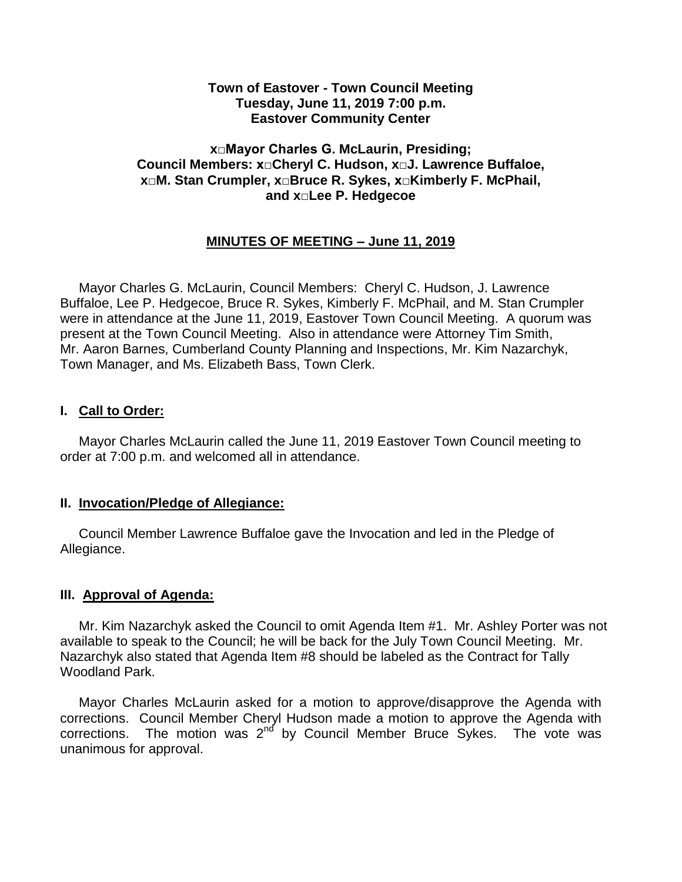### **Town of Eastover - Town Council Meeting Tuesday, June 11, 2019 7:00 p.m. Eastover Community Center**

### **x□Mayor Charles G. McLaurin, Presiding; Council Members: x□Cheryl C. Hudson, x□J. Lawrence Buffaloe, x□M. Stan Crumpler, x□Bruce R. Sykes, x□Kimberly F. McPhail, and x□Lee P. Hedgecoe**

# **MINUTES OF MEETING – June 11, 2019**

 Mayor Charles G. McLaurin, Council Members: Cheryl C. Hudson, J. Lawrence Buffaloe, Lee P. Hedgecoe, Bruce R. Sykes, Kimberly F. McPhail, and M. Stan Crumpler were in attendance at the June 11, 2019, Eastover Town Council Meeting. A quorum was present at the Town Council Meeting. Also in attendance were Attorney Tim Smith, Mr. Aaron Barnes, Cumberland County Planning and Inspections, Mr. Kim Nazarchyk, Town Manager, and Ms. Elizabeth Bass, Town Clerk.

## **I. Call to Order:**

 Mayor Charles McLaurin called the June 11, 2019 Eastover Town Council meeting to order at 7:00 p.m. and welcomed all in attendance.

#### **II. Invocation/Pledge of Allegiance:**

 Council Member Lawrence Buffaloe gave the Invocation and led in the Pledge of Allegiance.

## **III. Approval of Agenda:**

 Mr. Kim Nazarchyk asked the Council to omit Agenda Item #1. Mr. Ashley Porter was not available to speak to the Council; he will be back for the July Town Council Meeting. Mr. Nazarchyk also stated that Agenda Item #8 should be labeled as the Contract for Tally Woodland Park.

 Mayor Charles McLaurin asked for a motion to approve/disapprove the Agenda with corrections. Council Member Cheryl Hudson made a motion to approve the Agenda with corrections. The motion was  $2^{nd}$  by Council Member Bruce Sykes. The vote was unanimous for approval.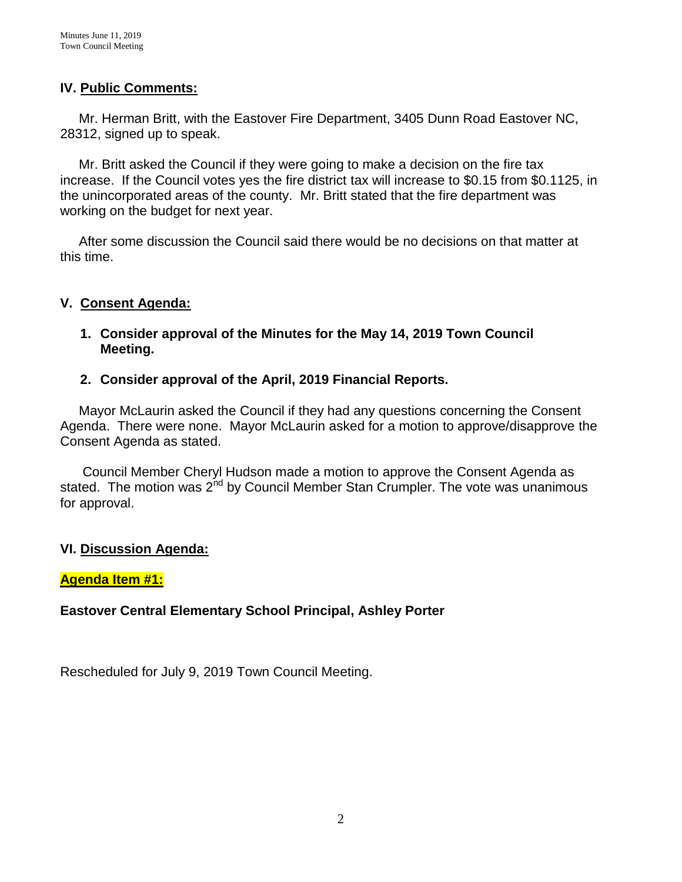## **IV. Public Comments:**

 Mr. Herman Britt, with the Eastover Fire Department, 3405 Dunn Road Eastover NC, 28312, signed up to speak.

 Mr. Britt asked the Council if they were going to make a decision on the fire tax increase. If the Council votes yes the fire district tax will increase to \$0.15 from \$0.1125, in the unincorporated areas of the county. Mr. Britt stated that the fire department was working on the budget for next year.

 After some discussion the Council said there would be no decisions on that matter at this time.

# **V. Consent Agenda:**

**1. Consider approval of the Minutes for the May 14, 2019 Town Council Meeting.** 

## **2. Consider approval of the April, 2019 Financial Reports.**

 Mayor McLaurin asked the Council if they had any questions concerning the Consent Agenda. There were none. Mayor McLaurin asked for a motion to approve/disapprove the Consent Agenda as stated.

 Council Member Cheryl Hudson made a motion to approve the Consent Agenda as stated. The motion was  $2^{nd}$  by Council Member Stan Crumpler. The vote was unanimous for approval.

## **VI. Discussion Agenda:**

## **Agenda Item #1:**

## **Eastover Central Elementary School Principal, Ashley Porter**

Rescheduled for July 9, 2019 Town Council Meeting.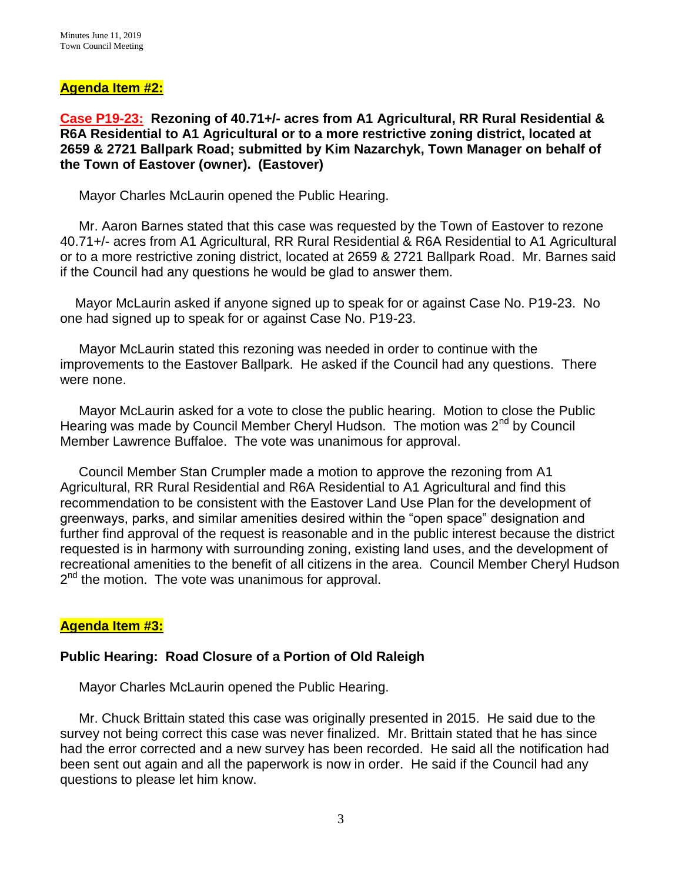## **Agenda Item #2:**

**Case P19-23: Rezoning of 40.71+/- acres from A1 Agricultural, RR Rural Residential & R6A Residential to A1 Agricultural or to a more restrictive zoning district, located at 2659 & 2721 Ballpark Road; submitted by Kim Nazarchyk, Town Manager on behalf of the Town of Eastover (owner). (Eastover)**

Mayor Charles McLaurin opened the Public Hearing.

 Mr. Aaron Barnes stated that this case was requested by the Town of Eastover to rezone 40.71+/- acres from A1 Agricultural, RR Rural Residential & R6A Residential to A1 Agricultural or to a more restrictive zoning district, located at 2659 & 2721 Ballpark Road. Mr. Barnes said if the Council had any questions he would be glad to answer them.

 Mayor McLaurin asked if anyone signed up to speak for or against Case No. P19-23. No one had signed up to speak for or against Case No. P19-23.

 Mayor McLaurin stated this rezoning was needed in order to continue with the improvements to the Eastover Ballpark. He asked if the Council had any questions. There were none.

 Mayor McLaurin asked for a vote to close the public hearing. Motion to close the Public Hearing was made by Council Member Cheryl Hudson. The motion was 2<sup>nd</sup> by Council Member Lawrence Buffaloe. The vote was unanimous for approval.

 Council Member Stan Crumpler made a motion to approve the rezoning from A1 Agricultural, RR Rural Residential and R6A Residential to A1 Agricultural and find this recommendation to be consistent with the Eastover Land Use Plan for the development of greenways, parks, and similar amenities desired within the "open space" designation and further find approval of the request is reasonable and in the public interest because the district requested is in harmony with surrounding zoning, existing land uses, and the development of recreational amenities to the benefit of all citizens in the area. Council Member Cheryl Hudson 2<sup>nd</sup> the motion. The vote was unanimous for approval.

# **Agenda Item #3:**

## **Public Hearing: Road Closure of a Portion of Old Raleigh**

Mayor Charles McLaurin opened the Public Hearing.

 Mr. Chuck Brittain stated this case was originally presented in 2015. He said due to the survey not being correct this case was never finalized. Mr. Brittain stated that he has since had the error corrected and a new survey has been recorded. He said all the notification had been sent out again and all the paperwork is now in order. He said if the Council had any questions to please let him know.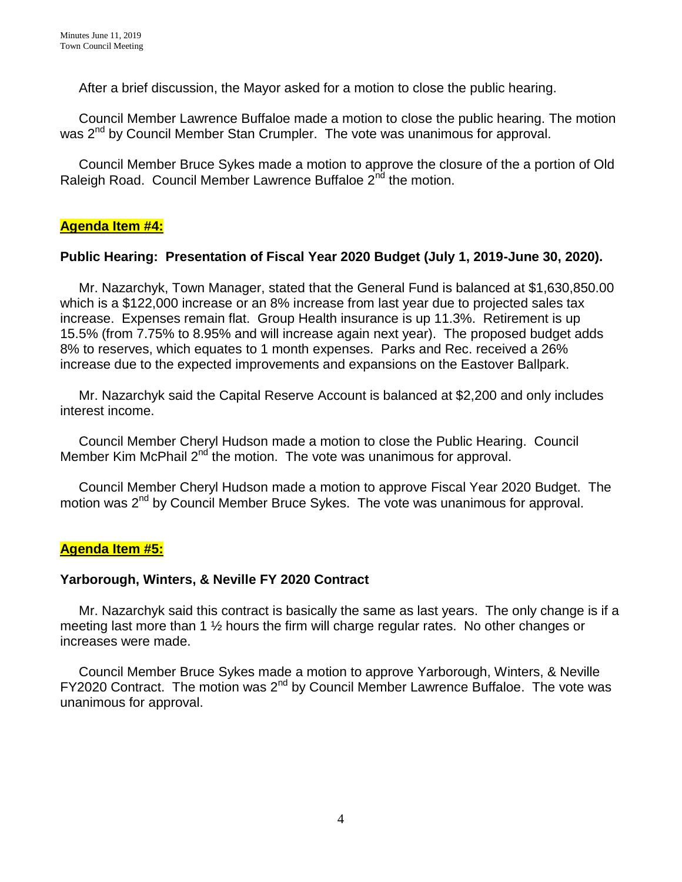After a brief discussion, the Mayor asked for a motion to close the public hearing.

 Council Member Lawrence Buffaloe made a motion to close the public hearing. The motion was 2<sup>nd</sup> by Council Member Stan Crumpler. The vote was unanimous for approval.

 Council Member Bruce Sykes made a motion to approve the closure of the a portion of Old Raleigh Road. Council Member Lawrence Buffaloe 2<sup>nd</sup> the motion.

# **Agenda Item #4:**

# **Public Hearing: Presentation of Fiscal Year 2020 Budget (July 1, 2019-June 30, 2020).**

 Mr. Nazarchyk, Town Manager, stated that the General Fund is balanced at \$1,630,850.00 which is a \$122,000 increase or an 8% increase from last year due to projected sales tax increase. Expenses remain flat. Group Health insurance is up 11.3%. Retirement is up 15.5% (from 7.75% to 8.95% and will increase again next year). The proposed budget adds 8% to reserves, which equates to 1 month expenses. Parks and Rec. received a 26% increase due to the expected improvements and expansions on the Eastover Ballpark.

 Mr. Nazarchyk said the Capital Reserve Account is balanced at \$2,200 and only includes interest income.

 Council Member Cheryl Hudson made a motion to close the Public Hearing. Council Member Kim McPhail 2<sup>nd</sup> the motion. The vote was unanimous for approval.

 Council Member Cheryl Hudson made a motion to approve Fiscal Year 2020 Budget. The motion was 2<sup>nd</sup> by Council Member Bruce Sykes. The vote was unanimous for approval.

## **Agenda Item #5:**

## **Yarborough, Winters, & Neville FY 2020 Contract**

 Mr. Nazarchyk said this contract is basically the same as last years. The only change is if a meeting last more than 1 ½ hours the firm will charge regular rates. No other changes or increases were made.

 Council Member Bruce Sykes made a motion to approve Yarborough, Winters, & Neville  $FY2020$  Contract. The motion was  $2<sup>nd</sup>$  by Council Member Lawrence Buffaloe. The vote was unanimous for approval.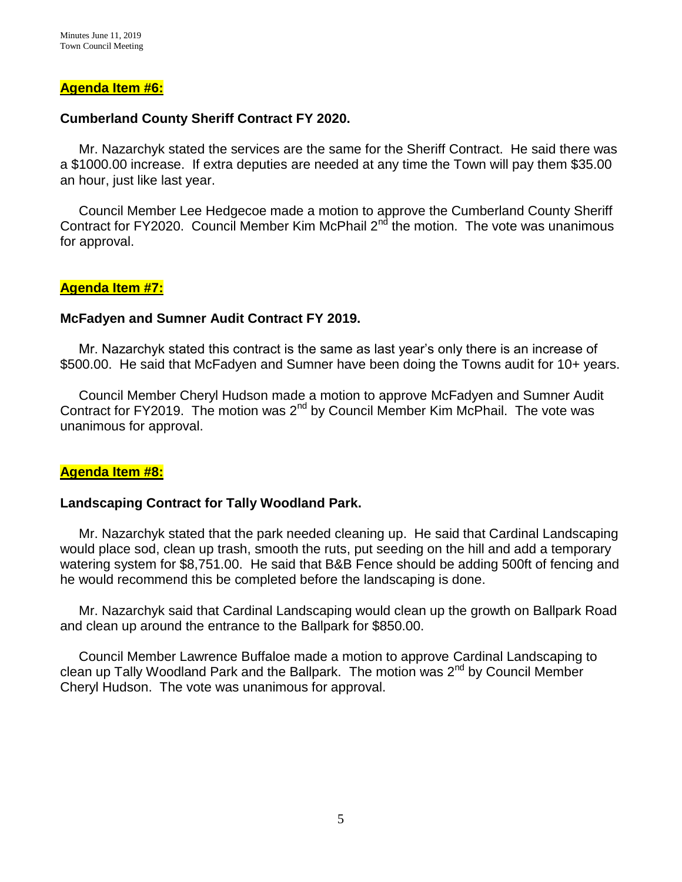### **Agenda Item #6:**

### **Cumberland County Sheriff Contract FY 2020.**

 Mr. Nazarchyk stated the services are the same for the Sheriff Contract. He said there was a \$1000.00 increase. If extra deputies are needed at any time the Town will pay them \$35.00 an hour, just like last year.

 Council Member Lee Hedgecoe made a motion to approve the Cumberland County Sheriff Contract for FY2020. Council Member Kim McPhail  $2<sup>nd</sup>$  the motion. The vote was unanimous for approval.

### **Agenda Item #7:**

### **McFadyen and Sumner Audit Contract FY 2019.**

Mr. Nazarchyk stated this contract is the same as last year's only there is an increase of \$500.00. He said that McFadyen and Sumner have been doing the Towns audit for 10+ years.

 Council Member Cheryl Hudson made a motion to approve McFadyen and Sumner Audit Contract for FY2019. The motion was  $2<sup>nd</sup>$  by Council Member Kim McPhail. The vote was unanimous for approval.

#### **Agenda Item #8:**

#### **Landscaping Contract for Tally Woodland Park.**

 Mr. Nazarchyk stated that the park needed cleaning up. He said that Cardinal Landscaping would place sod, clean up trash, smooth the ruts, put seeding on the hill and add a temporary watering system for \$8,751.00. He said that B&B Fence should be adding 500ft of fencing and he would recommend this be completed before the landscaping is done.

 Mr. Nazarchyk said that Cardinal Landscaping would clean up the growth on Ballpark Road and clean up around the entrance to the Ballpark for \$850.00.

 Council Member Lawrence Buffaloe made a motion to approve Cardinal Landscaping to clean up Tally Woodland Park and the Ballpark. The motion was  $2^{nd}$  by Council Member Cheryl Hudson. The vote was unanimous for approval.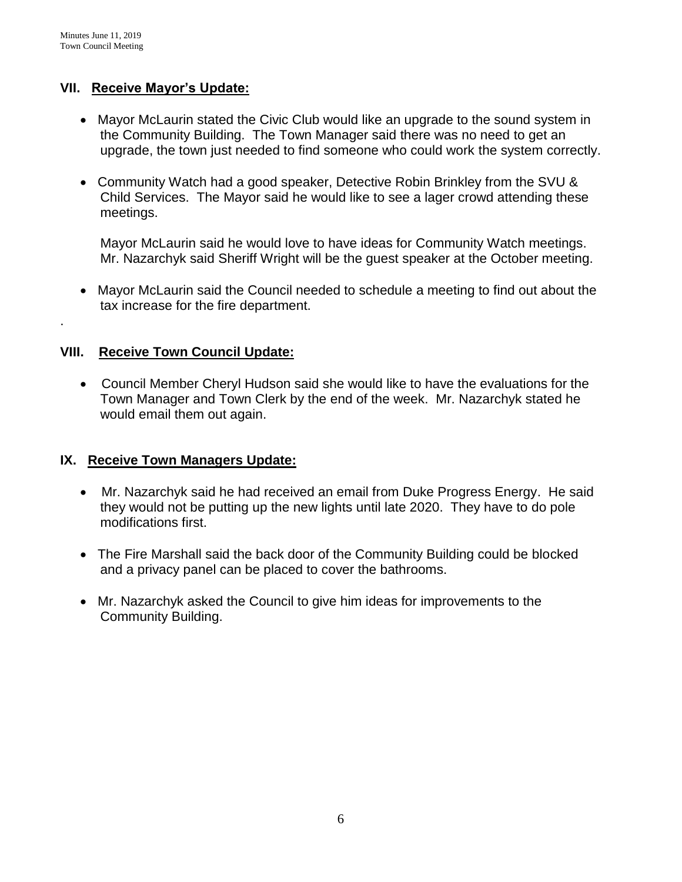.

# **VII. Receive Mayor's Update:**

- Mayor McLaurin stated the Civic Club would like an upgrade to the sound system in the Community Building. The Town Manager said there was no need to get an upgrade, the town just needed to find someone who could work the system correctly.
- Community Watch had a good speaker, Detective Robin Brinkley from the SVU & Child Services. The Mayor said he would like to see a lager crowd attending these meetings.

Mayor McLaurin said he would love to have ideas for Community Watch meetings. Mr. Nazarchyk said Sheriff Wright will be the guest speaker at the October meeting.

 Mayor McLaurin said the Council needed to schedule a meeting to find out about the tax increase for the fire department.

# **VIII. Receive Town Council Update:**

 Council Member Cheryl Hudson said she would like to have the evaluations for the Town Manager and Town Clerk by the end of the week. Mr. Nazarchyk stated he would email them out again.

## **IX. Receive Town Managers Update:**

- Mr. Nazarchyk said he had received an email from Duke Progress Energy. He said they would not be putting up the new lights until late 2020. They have to do pole modifications first.
- The Fire Marshall said the back door of the Community Building could be blocked and a privacy panel can be placed to cover the bathrooms.
- Mr. Nazarchyk asked the Council to give him ideas for improvements to the Community Building.